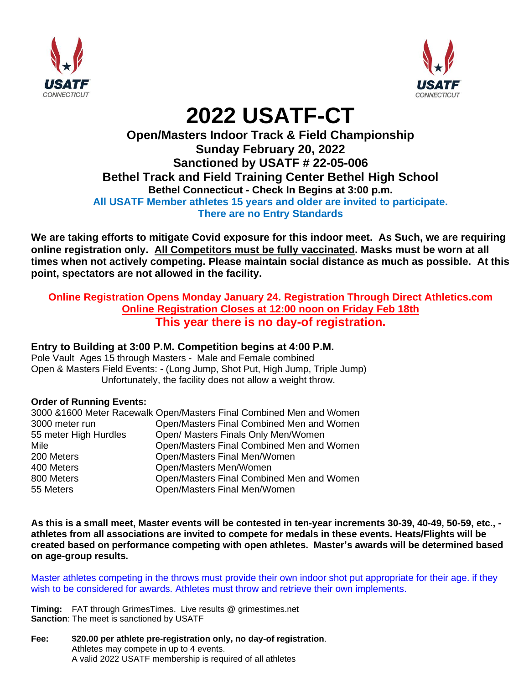



# **2022 USATF-CT**

## **Open/Masters Indoor Track & Field Championship Sunday February 20, 2022 Sanctioned by USATF # 22-05-006 Bethel Track and Field Training Center Bethel High School Bethel Connecticut - Check In Begins at 3:00 p.m. All USATF Member athletes 15 years and older are invited to participate. There are no Entry Standards**

**We are taking efforts to mitigate Covid exposure for this indoor meet. As Such, we are requiring online registration only. All Competitors must be fully vaccinated. Masks must be worn at all times when not actively competing. Please maintain social distance as much as possible. At this point, spectators are not allowed in the facility.** 

#### **Online Registration Opens Monday January 24. Registration Through Direct Athletics.com Online Registration Closes at 12:00 noon on Friday Feb 18th This year there is no day-of registration.**

### **Entry to Building at 3:00 P.M. Competition begins at 4:00 P.M.**

Pole Vault Ages 15 through Masters - Male and Female combined Open & Masters Field Events: - (Long Jump, Shot Put, High Jump, Triple Jump) Unfortunately, the facility does not allow a weight throw.

#### **Order of Running Events:**

|                       | 3000 &1600 Meter Racewalk Open/Masters Final Combined Men and Women |
|-----------------------|---------------------------------------------------------------------|
| 3000 meter run        | Open/Masters Final Combined Men and Women                           |
| 55 meter High Hurdles | Open/ Masters Finals Only Men/Women                                 |
| Mile                  | Open/Masters Final Combined Men and Women                           |
| 200 Meters            | Open/Masters Final Men/Women                                        |
| 400 Meters            | Open/Masters Men/Women                                              |
| 800 Meters            | Open/Masters Final Combined Men and Women                           |
| 55 Meters             | Open/Masters Final Men/Women                                        |

**As this is a small meet, Master events will be contested in ten-year increments 30-39, 40-49, 50-59, etc., athletes from all associations are invited to compete for medals in these events. Heats/Flights will be created based on performance competing with open athletes. Master's awards will be determined based on age-group results.**

Master athletes competing in the throws must provide their own indoor shot put appropriate for their age. if they wish to be considered for awards. Athletes must throw and retrieve their own implements.

**Timing:** FAT through GrimesTimes. Live results @ grimestimes.net **Sanction**: The meet is sanctioned by USATF

**Fee: \$20.00 per athlete pre-registration only, no day-of registration**. Athletes may compete in up to 4 events. A valid 2022 USATF membership is required of all athletes